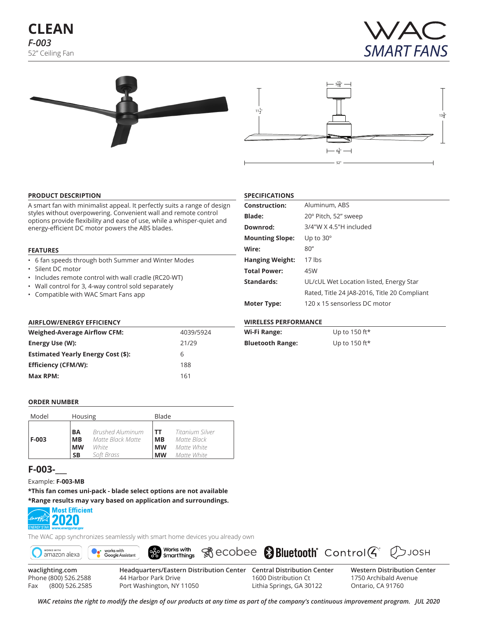# **CLEAN** *F-003* 52" Ceiling Fan







#### **PRODUCT DESCRIPTION**

A smart fan with minimalist appeal. It perfectly suits a range of design styles without overpowering. Convenient wall and remote control options provide flexibility and ease of use, while a whisper-quiet and energy-efficient DC motor powers the ABS blades.

#### **FEATURES**

- 6 fan speeds through both Summer and Winter Modes
- Silent DC motor
- Includes remote control with wall cradle (RC20-WT)
- Wall control for 3, 4-way control sold separately
- Compatible with WAC Smart Fans app

## **AIRFLOW/ENERGY EFFICIENCY**

| <b>Weighed-Average Airflow CFM:</b>       | 4039/5924 |
|-------------------------------------------|-----------|
| Energy Use (W):                           | 21/29     |
| <b>Estimated Yearly Energy Cost (\$):</b> | 6         |
| <b>Efficiency (CFM/W):</b>                | 188       |
| Max RPM:                                  | 161       |

| <b>Construction:</b>   | Aluminum, ABS                                |
|------------------------|----------------------------------------------|
| <b>Blade:</b>          | 20° Pitch, 52" sweep                         |
| Downrod:               | 3/4"W X 4.5"H included                       |
| <b>Mounting Slope:</b> | Up to $30^\circ$                             |
| Wire:                  | 80"                                          |
| <b>Hanging Weight:</b> | $17$ lbs                                     |
| <b>Total Power:</b>    | 45W                                          |
| Standards:             | UL/cUL Wet Location listed, Energy Star      |
|                        | Rated, Title 24 JA8-2016, Title 20 Compliant |
| <b>Moter Type:</b>     | 120 x 15 sensorless DC motor                 |

### **WIRELESS PERFORMANCE**

**SPECIFICATIONS**

| Wi-Fi Range:            | Up to 150 ft* |
|-------------------------|---------------|
| <b>Bluetooth Range:</b> | Up to 150 ft* |

#### **ORDER NUMBER**

| Model   | Housing   |                   |           | Blade           |  |  |  |  |
|---------|-----------|-------------------|-----------|-----------------|--|--|--|--|
| $F-003$ | BA        | Brushed Aluminum  | <b>TT</b> | Titanium Silver |  |  |  |  |
|         | <b>MB</b> | Matte Black Matte | <b>MB</b> | Matte Black     |  |  |  |  |
|         | <b>MW</b> | White             | <b>MW</b> | Matte White     |  |  |  |  |
|         | SΒ        | Soft Brass        | <b>MW</b> | Matte White     |  |  |  |  |

## **F-003-\_\_\_**

Example: **F-003-MB**

**\*This fan comes uni-pack - blade select options are not available \*Range results may vary based on application and surroundings.**



The WAC app synchronizes seamlessly with smart home devices you already own



Phone (800) 526.2588 Fax (800) 526.2585

44 Harbor Park Drive Port Washington, NY 11050

1600 Distribution Ct Lithia Springs, GA 30122 1750 Archibald Avenue Ontario, CA 91760

*WAC retains the right to modify the design of our products at any time as part of the company's continuous improvement program. Jul 2020*